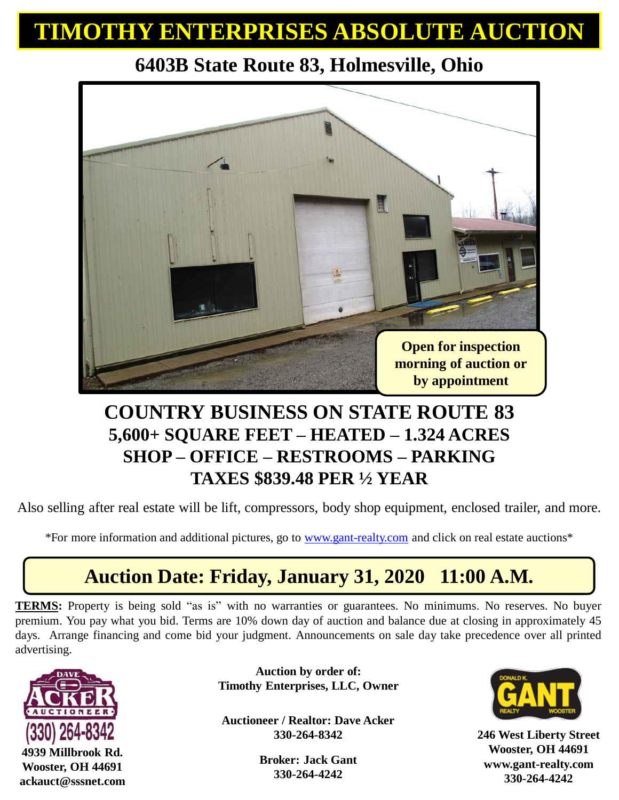## **TIMOTHY ENTERPRISES ABSOLUTE AUCTION**

# a ( **Open for inspection morning of auction or by appointment**

#### **6403B State Route 83, Holmesville, Ohio**

#### **COUNTRY BUSINESS ON STATE ROUTE 83 5,600+ SQUARE FEET – HEATED – 1.324 ACRES SHOP – OFFICE – RESTROOMS – PARKING TAXES \$839.48 PER ½ YEAR**

Also selling after real estate will be lift, compressors, body shop equipment, enclosed trailer, and more.

\*For more information and additional pictures, go to [www.gant-realty.com](http://www.gant-realty.com/) and click on real estate auctions\*

### **Auction Date: Friday, January 31, 2020 11:00 A.M.**

**TERMS:** Property is being sold "as is" with no warranties or guarantees. No minimums. No reserves. No buyer premium. You pay what you bid. Terms are 10% down day of auction and balance due at closing in approximately 45 days. Arrange financing and come bid your judgment. Announcements on sale day take precedence over all printed advertising.



**4939 Millbrook Rd. Wooster, OH 44691 ackauct@sssnet.com**

**Auction by order of: Timothy Enterprises, LLC, Owner**

**Auctioneer / Realtor: Dave Acker 330-264-8342**

> **Broker: Jack Gant 330-264-4242**



**246 West Liberty Street Wooster, OH 44691 www.gant-realty.com 330-264-4242**